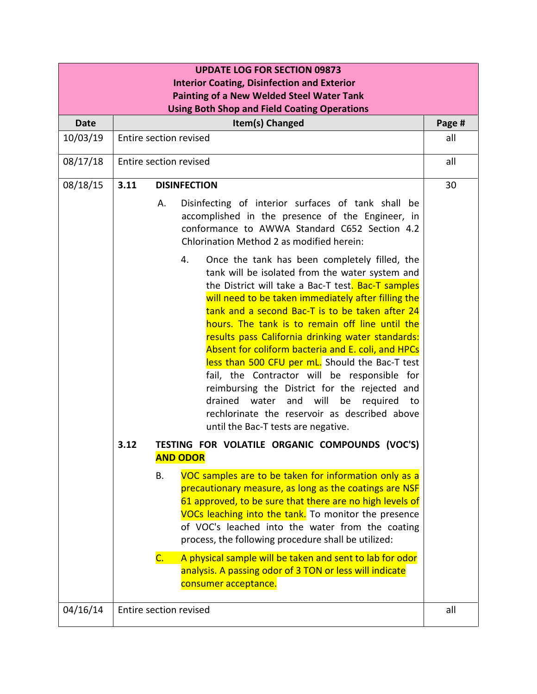| <b>UPDATE LOG FOR SECTION 09873</b><br><b>Interior Coating, Disinfection and Exterior</b> |                        |                                                                   |                                                                                                                                                                                                                                                                                                                                                                                                                                                                                                                                                                                                                                                                                                                                             |        |
|-------------------------------------------------------------------------------------------|------------------------|-------------------------------------------------------------------|---------------------------------------------------------------------------------------------------------------------------------------------------------------------------------------------------------------------------------------------------------------------------------------------------------------------------------------------------------------------------------------------------------------------------------------------------------------------------------------------------------------------------------------------------------------------------------------------------------------------------------------------------------------------------------------------------------------------------------------------|--------|
| <b>Painting of a New Welded Steel Water Tank</b>                                          |                        |                                                                   |                                                                                                                                                                                                                                                                                                                                                                                                                                                                                                                                                                                                                                                                                                                                             |        |
| <b>Using Both Shop and Field Coating Operations</b>                                       |                        |                                                                   |                                                                                                                                                                                                                                                                                                                                                                                                                                                                                                                                                                                                                                                                                                                                             |        |
| <b>Date</b>                                                                               | Item(s) Changed        |                                                                   |                                                                                                                                                                                                                                                                                                                                                                                                                                                                                                                                                                                                                                                                                                                                             | Page # |
| 10/03/19                                                                                  | Entire section revised |                                                                   |                                                                                                                                                                                                                                                                                                                                                                                                                                                                                                                                                                                                                                                                                                                                             | all    |
| 08/17/18                                                                                  | Entire section revised |                                                                   |                                                                                                                                                                                                                                                                                                                                                                                                                                                                                                                                                                                                                                                                                                                                             | all    |
| 08/18/15                                                                                  | 3.11                   | <b>DISINFECTION</b>                                               |                                                                                                                                                                                                                                                                                                                                                                                                                                                                                                                                                                                                                                                                                                                                             | 30     |
|                                                                                           |                        | Α.                                                                | Disinfecting of interior surfaces of tank shall be<br>accomplished in the presence of the Engineer, in<br>conformance to AWWA Standard C652 Section 4.2<br>Chlorination Method 2 as modified herein:                                                                                                                                                                                                                                                                                                                                                                                                                                                                                                                                        |        |
|                                                                                           |                        |                                                                   | Once the tank has been completely filled, the<br>4.<br>tank will be isolated from the water system and<br>the District will take a Bac-T test. Bac-T samples<br>will need to be taken immediately after filling the<br>tank and a second Bac-T is to be taken after 24<br>hours. The tank is to remain off line until the<br>results pass California drinking water standards:<br>Absent for coliform bacteria and E. coli, and HPCs<br>less than 500 CFU per mL. Should the Bac-T test<br>fail, the Contractor will be responsible for<br>reimbursing the District for the rejected and<br>will<br>drained<br>water<br>and<br>be<br>required<br>to<br>rechlorinate the reservoir as described above<br>until the Bac-T tests are negative. |        |
|                                                                                           | 3.12                   | TESTING FOR VOLATILE ORGANIC COMPOUNDS (VOC'S)<br><b>AND ODOR</b> |                                                                                                                                                                                                                                                                                                                                                                                                                                                                                                                                                                                                                                                                                                                                             |        |
|                                                                                           |                        | В.                                                                | VOC samples are to be taken for information only as a<br>precautionary measure, as long as the coatings are NSF<br>61 approved, to be sure that there are no high levels of<br>VOCs leaching into the tank. To monitor the presence<br>of VOC's leached into the water from the coating<br>process, the following procedure shall be utilized:                                                                                                                                                                                                                                                                                                                                                                                              |        |
|                                                                                           |                        | $\mathsf{C}$ .                                                    | A physical sample will be taken and sent to lab for odor<br>analysis. A passing odor of 3 TON or less will indicate<br>consumer acceptance.                                                                                                                                                                                                                                                                                                                                                                                                                                                                                                                                                                                                 |        |
| 04/16/14                                                                                  | Entire section revised |                                                                   |                                                                                                                                                                                                                                                                                                                                                                                                                                                                                                                                                                                                                                                                                                                                             | all    |